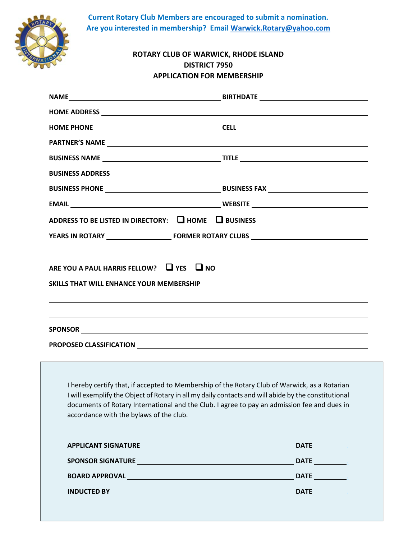**Current Rotary Club Members are encouraged to submit a nomination. Are you interested in membership? Email Warwick.Rotary@yahoo.com**



| ADDRESS TO BE LISTED IN DIRECTORY: 4 HOME 4 BUSINESS<br>ARE YOU A PAUL HARRIS FELLOW? $\Box$ YES $\Box$ NO<br><b>SKILLS THAT WILL ENHANCE YOUR MEMBERSHIP</b><br>,我们也不会有什么。""我们的人,我们也不会有什么?""我们的人,我们也不会有什么?""我们的人,我们也不会有什么?""我们的人,我们也不会有什么?""我们的人<br>,我们也不会有什么。""我们的人,我们也不会有什么?""我们的人,我们也不会有什么?""我们的人,我们也不会有什么?""我们的人,我们也不会有什么?""我们的人 |      |                                         |                                                                                                                                                                                                                                                                                                                                                                                                                                                            |
|---------------------------------------------------------------------------------------------------------------------------------------------------------------------------------------------------------------------------------------------------------------------------------------------------------------------------------------|------|-----------------------------------------|------------------------------------------------------------------------------------------------------------------------------------------------------------------------------------------------------------------------------------------------------------------------------------------------------------------------------------------------------------------------------------------------------------------------------------------------------------|
|                                                                                                                                                                                                                                                                                                                                       |      |                                         |                                                                                                                                                                                                                                                                                                                                                                                                                                                            |
|                                                                                                                                                                                                                                                                                                                                       |      | accordance with the bylaws of the club. | <u> 1989 - Johann Harry Harry Harry Harry Harry Harry Harry Harry Harry Harry Harry Harry Harry Harry Harry Harry</u><br>I hereby certify that, if accepted to Membership of the Rotary Club of Warwick, as a Rotarian<br>I will exemplify the Object of Rotary in all my daily contacts and will abide by the constitutional<br>documents of Rotary International and the Club. I agree to pay an admission fee and dues in<br><b>DATE</b><br><b>DATE</b> |
|                                                                                                                                                                                                                                                                                                                                       | DATE |                                         |                                                                                                                                                                                                                                                                                                                                                                                                                                                            |

֖֖֖֖֚֚֚֚֚֬